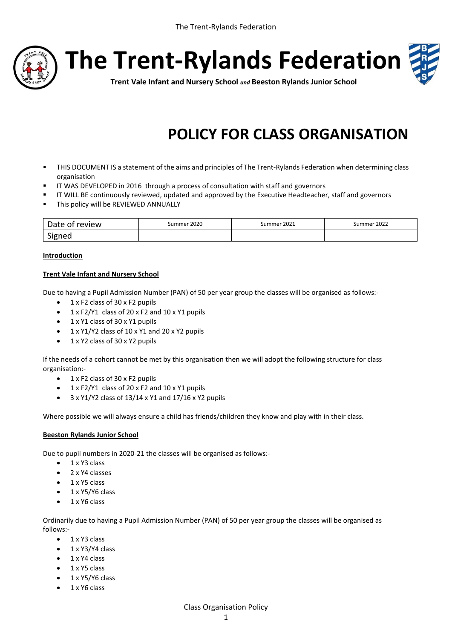

# **The Trent-Rylands Federation**



**Trent Vale Infant and Nursery School** *and* **Beeston Rylands Junior School**

# **POLICY FOR CLASS ORGANISATION**

- THIS DOCUMENT IS a statement of the aims and principles of The Trent-Rylands Federation when determining class organisation
- **IF WAS DEVELOPED in 2016 through a process of consultation with staff and governors**
- **IF WILL BE continuously reviewed, updated and approved by the Executive Headteacher, staff and governors**
- **This policy will be REVIEWED ANNUALLY**

| Date of<br>review | Summer 2020 | Summer 2021 | Summer 2022 |
|-------------------|-------------|-------------|-------------|
| Signen            |             |             |             |

#### **Introduction**

#### **Trent Vale Infant and Nursery School**

Due to having a Pupil Admission Number (PAN) of 50 per year group the classes will be organised as follows:-

- $\bullet$  1 x F2 class of 30 x F2 pupils
- $\bullet$  1 x F2/Y1 class of 20 x F2 and 10 x Y1 pupils
- $\bullet$  1 x Y1 class of 30 x Y1 pupils
- 1 x Y1/Y2 class of 10 x Y1 and 20 x Y2 pupils
- 1 x Y2 class of 30 x Y2 pupils

If the needs of a cohort cannot be met by this organisation then we will adopt the following structure for class organisation:-

- $\bullet$  1 x F2 class of 30 x F2 pupils
- $\bullet$  1 x F2/Y1 class of 20 x F2 and 10 x Y1 pupils
- $\bullet$  3 x Y1/Y2 class of 13/14 x Y1 and 17/16 x Y2 pupils

Where possible we will always ensure a child has friends/children they know and play with in their class.

#### **Beeston Rylands Junior School**

Due to pupil numbers in 2020-21 the classes will be organised as follows:-

- $-1$  x Y3 class
- 2 x Y4 classes
- $-1$  x Y5 class
- 1 x Y5/Y6 class
- $-1$  x Y6 class

Ordinarily due to having a Pupil Admission Number (PAN) of 50 per year group the classes will be organised as follows:-

- $\bullet$  1 x Y3 class
- $-1$  x Y3/Y4 class
- $\bullet$  1 x Y4 class
- $-1$  x Y5 class
- $-1$  x Y5/Y6 class
- $-1$  x Y6 class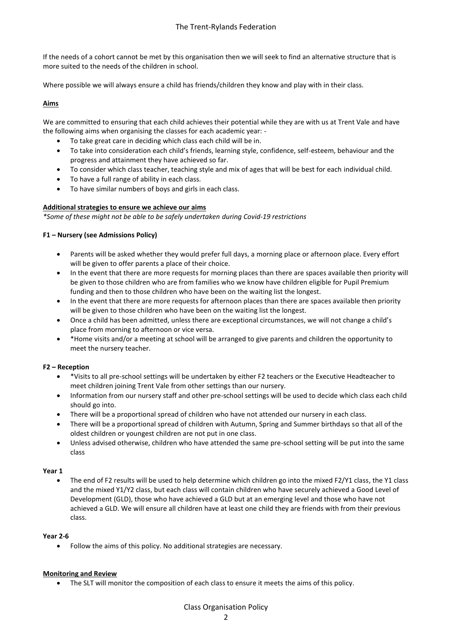If the needs of a cohort cannot be met by this organisation then we will seek to find an alternative structure that is more suited to the needs of the children in school.

Where possible we will always ensure a child has friends/children they know and play with in their class.

## **Aims**

We are committed to ensuring that each child achieves their potential while they are with us at Trent Vale and have the following aims when organising the classes for each academic year: -

- To take great care in deciding which class each child will be in.
- To take into consideration each child's friends, learning style, confidence, self-esteem, behaviour and the progress and attainment they have achieved so far.
- To consider which class teacher, teaching style and mix of ages that will be best for each individual child.
- To have a full range of ability in each class.
- To have similar numbers of boys and girls in each class.

## **Additional strategies to ensure we achieve our aims**

*\*Some of these might not be able to be safely undertaken during Covid-19 restrictions*

# **F1 – Nursery (see Admissions Policy)**

- Parents will be asked whether they would prefer full days, a morning place or afternoon place. Every effort will be given to offer parents a place of their choice.
- In the event that there are more requests for morning places than there are spaces available then priority will be given to those children who are from families who we know have children eligible for Pupil Premium funding and then to those children who have been on the waiting list the longest.
- In the event that there are more requests for afternoon places than there are spaces available then priority will be given to those children who have been on the waiting list the longest.
- Once a child has been admitted, unless there are exceptional circumstances, we will not change a child's place from morning to afternoon or vice versa.
- \*Home visits and/or a meeting at school will be arranged to give parents and children the opportunity to meet the nursery teacher.

# **F2 – Reception**

- \*Visits to all pre-school settings will be undertaken by either F2 teachers or the Executive Headteacher to meet children joining Trent Vale from other settings than our nursery.
- Information from our nursery staff and other pre-school settings will be used to decide which class each child should go into.
- There will be a proportional spread of children who have not attended our nursery in each class.
- There will be a proportional spread of children with Autumn, Spring and Summer birthdays so that all of the oldest children or youngest children are not put in one class.
- Unless advised otherwise, children who have attended the same pre-school setting will be put into the same class

#### **Year 1**

 The end of F2 results will be used to help determine which children go into the mixed F2/Y1 class, the Y1 class and the mixed Y1/Y2 class, but each class will contain children who have securely achieved a Good Level of Development (GLD), those who have achieved a GLD but at an emerging level and those who have not achieved a GLD. We will ensure all children have at least one child they are friends with from their previous class.

#### **Year 2-6**

Follow the aims of this policy. No additional strategies are necessary.

#### **Monitoring and Review**

The SLT will monitor the composition of each class to ensure it meets the aims of this policy.